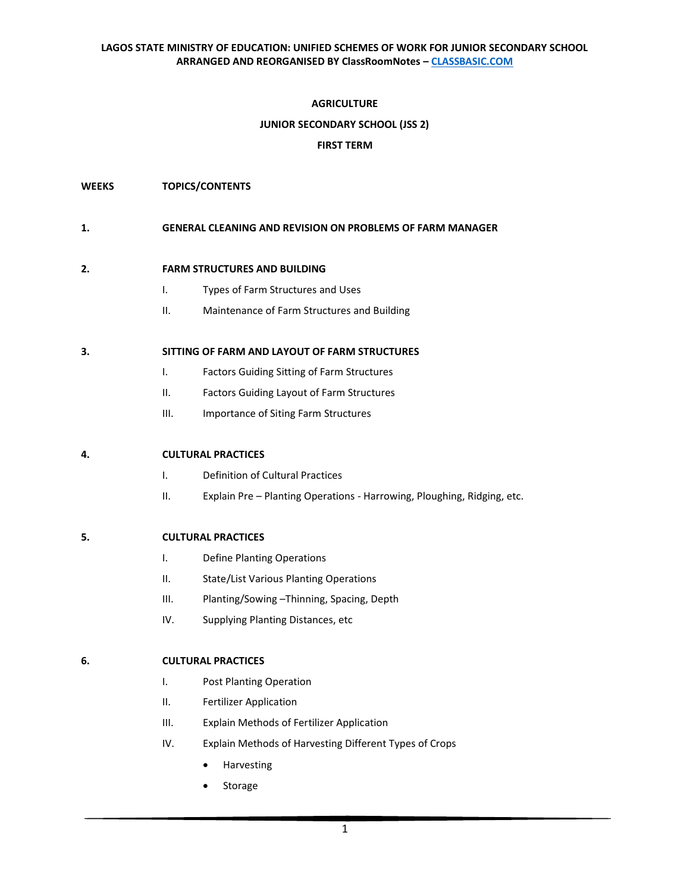## **AGRICULTURE**

## **JUNIOR SECONDARY SCHOOL (JSS 2)**

## **FIRST TERM**

### **WEEKS TOPICS/CONTENTS**

#### **1. GENERAL CLEANING AND REVISION ON PROBLEMS OF FARM MANAGER**

#### **2. FARM STRUCTURES AND BUILDING**

- I. Types of Farm Structures and Uses
- II. Maintenance of Farm Structures and Building

#### **3. SITTING OF FARM AND LAYOUT OF FARM STRUCTURES**

- I. Factors Guiding Sitting of Farm Structures
- II. Factors Guiding Layout of Farm Structures
- III. Importance of Siting Farm Structures

## **4. CULTURAL PRACTICES**

- I. Definition of Cultural Practices
- II. Explain Pre Planting Operations Harrowing, Ploughing, Ridging, etc.

## **5. CULTURAL PRACTICES**

- I. Define Planting Operations
- II. State/List Various Planting Operations
- III. Planting/Sowing –Thinning, Spacing, Depth
- IV. Supplying Planting Distances, etc

## **6. CULTURAL PRACTICES**

- I. Post Planting Operation
- II. Fertilizer Application
- III. Explain Methods of Fertilizer Application
- IV. Explain Methods of Harvesting Different Types of Crops
	- Harvesting
	- **Storage**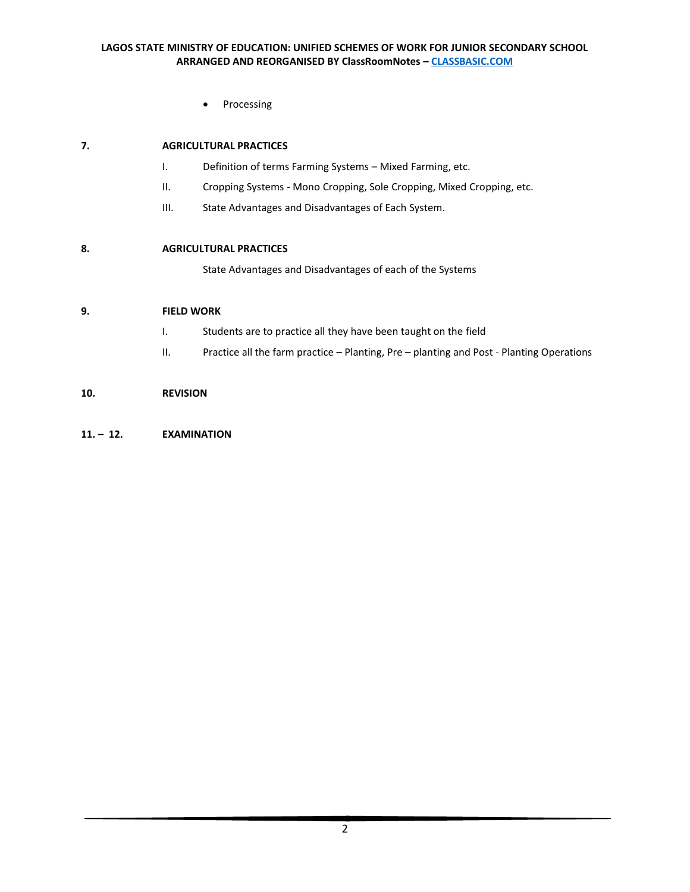• Processing

# **7. AGRICULTURAL PRACTICES**

- I. Definition of terms Farming Systems Mixed Farming, etc.
- II. Cropping Systems Mono Cropping, Sole Cropping, Mixed Cropping, etc.
- III. State Advantages and Disadvantages of Each System.

# **8. AGRICULTURAL PRACTICES**

State Advantages and Disadvantages of each of the Systems

# **9. FIELD WORK**

- I. Students are to practice all they have been taught on the field
- II. Practice all the farm practice Planting, Pre planting and Post Planting Operations

# **10. REVISION**

## **11. – 12. EXAMINATION**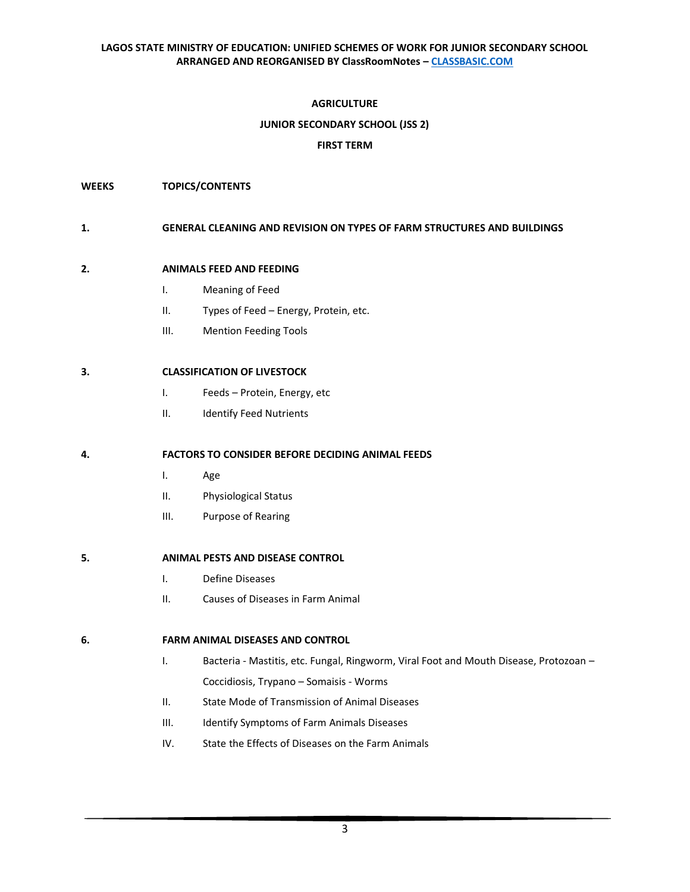## **AGRICULTURE**

## **JUNIOR SECONDARY SCHOOL (JSS 2)**

## **FIRST TERM**

### **WEEKS TOPICS/CONTENTS**

#### **1. GENERAL CLEANING AND REVISION ON TYPES OF FARM STRUCTURES AND BUILDINGS**

#### **2. ANIMALS FEED AND FEEDING**

- I. Meaning of Feed
- II. Types of Feed Energy, Protein, etc.
- III. Mention Feeding Tools

## **3. CLASSIFICATION OF LIVESTOCK**

- I. Feeds Protein, Energy, etc
- II. Identify Feed Nutrients

## **4. FACTORS TO CONSIDER BEFORE DECIDING ANIMAL FEEDS**

- I. Age
- II. Physiological Status
- III. Purpose of Rearing

# **5. ANIMAL PESTS AND DISEASE CONTROL**

- I. Define Diseases
- II. Causes of Diseases in Farm Animal

#### **6. FARM ANIMAL DISEASES AND CONTROL**

- I. Bacteria Mastitis, etc. Fungal, Ringworm, Viral Foot and Mouth Disease, Protozoan Coccidiosis, Trypano – Somaisis - Worms
- II. State Mode of Transmission of Animal Diseases
- III. Identify Symptoms of Farm Animals Diseases
- IV. State the Effects of Diseases on the Farm Animals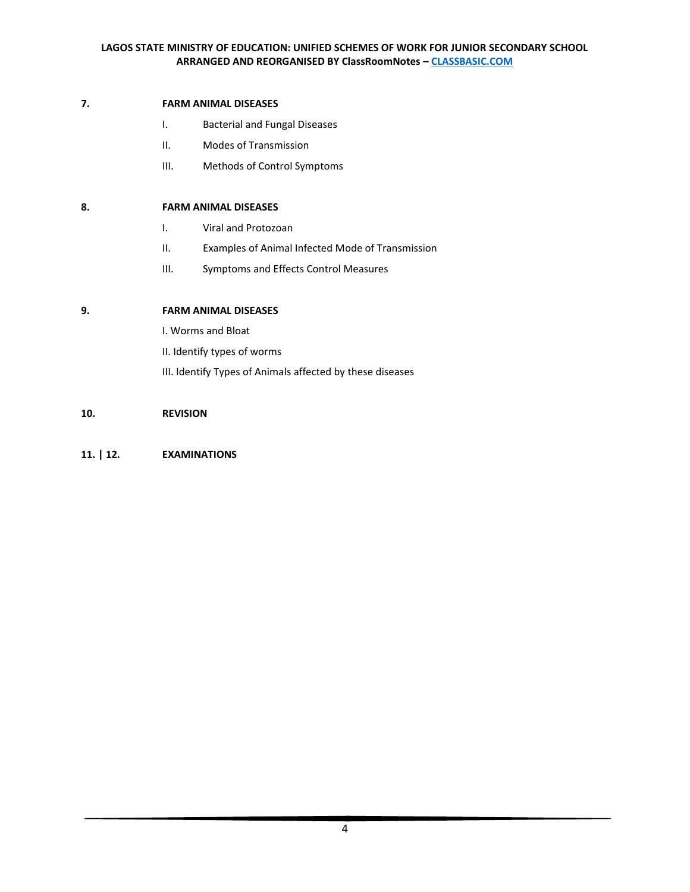# **7. FARM ANIMAL DISEASES**

- I. Bacterial and Fungal Diseases
- II. Modes of Transmission
- III. Methods of Control Symptoms

## **8. FARM ANIMAL DISEASES**

- I. Viral and Protozoan
- II. Examples of Animal Infected Mode of Transmission
- III. Symptoms and Effects Control Measures

# **9. FARM ANIMAL DISEASES**

I. Worms and Bloat

II. Identify types of worms

III. Identify Types of Animals affected by these diseases

## **10. REVISION**

# **11. | 12. EXAMINATIONS**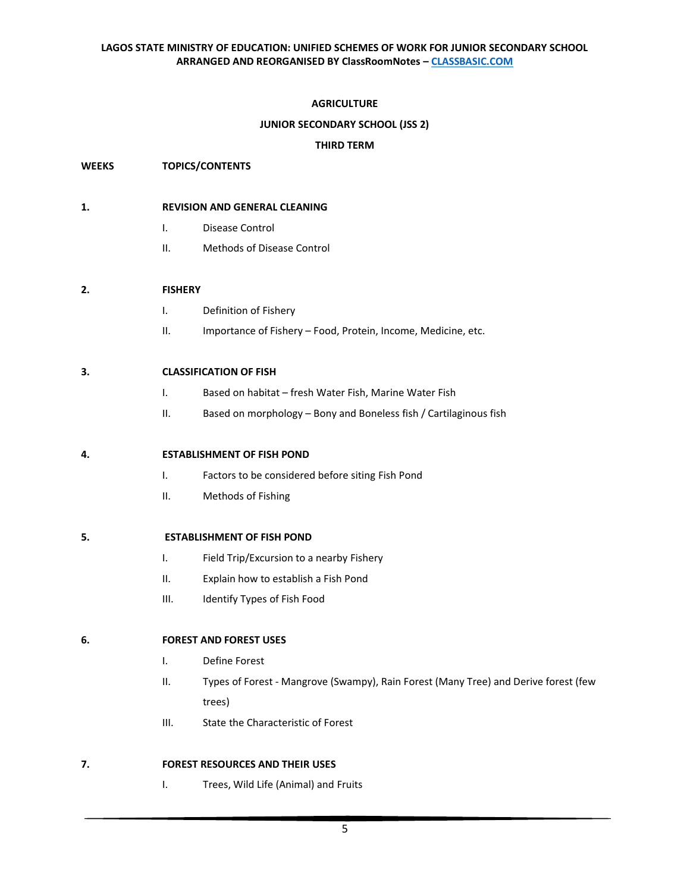# **AGRICULTURE**

## **JUNIOR SECONDARY SCHOOL (JSS 2)**

## **THIRD TERM**

## **WEEKS TOPICS/CONTENTS**

### **1. REVISION AND GENERAL CLEANING**

- I. Disease Control
- II. Methods of Disease Control

## **2. FISHERY**

- I. Definition of Fishery
- II. Importance of Fishery Food, Protein, Income, Medicine, etc.

## **3. CLASSIFICATION OF FISH**

- I. Based on habitat fresh Water Fish, Marine Water Fish
- II. Based on morphology Bony and Boneless fish / Cartilaginous fish

## **4. ESTABLISHMENT OF FISH POND**

- I. Factors to be considered before siting Fish Pond
- II. Methods of Fishing

## **5. ESTABLISHMENT OF FISH POND**

- I. Field Trip/Excursion to a nearby Fishery
- II. Explain how to establish a Fish Pond
- III. Identify Types of Fish Food

## **6. FOREST AND FOREST USES**

- I. Define Forest
- II. Types of Forest Mangrove (Swampy), Rain Forest (Many Tree) and Derive forest (few trees)
- III. State the Characteristic of Forest

## **7. FOREST RESOURCES AND THEIR USES**

I. Trees, Wild Life (Animal) and Fruits